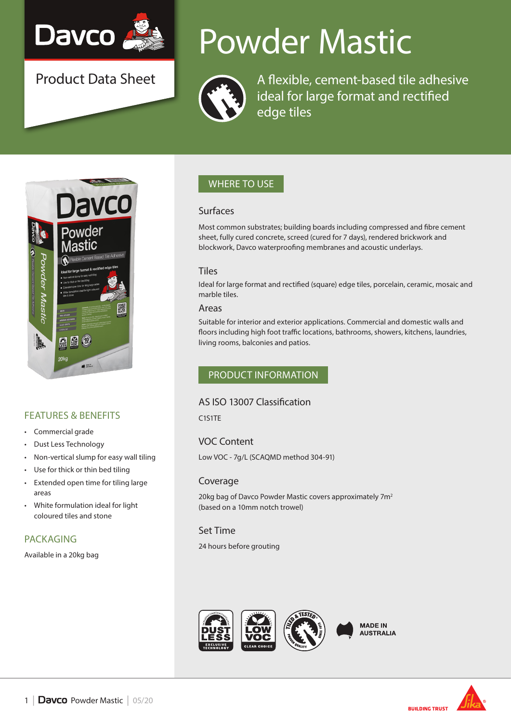

Product Data Sheet

# Powder Mastic



A flexible, cement-based tile adhesive ideal for large format and rectified edge tiles



# FEATURES & BENEFITS

- Commercial grade
- Dust Less Technology
- Non-vertical slump for easy wall tiling
- Use for thick or thin bed tiling
- Extended open time for tiling large areas
- White formulation ideal for light coloured tiles and stone

## PACKAGING

Available in a 20kg bag

# WHERE TO USE

#### Surfaces

Most common substrates; building boards including compressed and fibre cement sheet, fully cured concrete, screed (cured for 7 days), rendered brickwork and blockwork, Davco waterproofing membranes and acoustic underlays.

#### **Tiles**

Ideal for large format and rectified (square) edge tiles, porcelain, ceramic, mosaic and marble tiles.

#### Areas

Suitable for interior and exterior applications. Commercial and domestic walls and floors including high foot traffic locations, bathrooms, showers, kitchens, laundries, living rooms, balconies and patios.

# PRODUCT INFORMATION

## AS ISO 13007 Classification

C1S1TE

# VOC Content

Low VOC - 7g/L (SCAQMD method 304-91)

## Coverage

20kg bag of Davco Powder Mastic covers approximately 7m<sup>2</sup> (based on a 10mm notch trowel)

## Set Time

24 hours before grouting





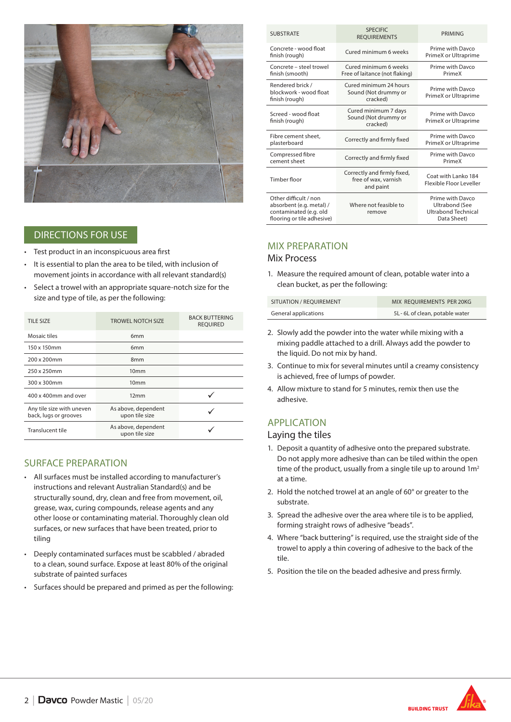

## DIRECTIONS FOR USE

- Test product in an inconspicuous area first
- It is essential to plan the area to be tiled, with inclusion of movement joints in accordance with all relevant standard(s)
- Select a trowel with an appropriate square-notch size for the size and type of tile, as per the following:

| TILE SIZE                                          | <b>TROWEL NOTCH SIZE</b>              | <b>BACK BUTTERING</b><br><b>REOUIRED</b> |
|----------------------------------------------------|---------------------------------------|------------------------------------------|
| Mosaic tiles                                       | 6 <sub>mm</sub>                       |                                          |
| 150 x 150mm                                        | 6 <sub>mm</sub>                       |                                          |
| 200 x 200mm                                        | 8 <sub>mm</sub>                       |                                          |
| 250 x 250mm                                        | 10 <sub>mm</sub>                      |                                          |
| 300 x 300mm                                        | 10 <sub>mm</sub>                      |                                          |
| 400 x 400mm and over                               | 12mm                                  |                                          |
| Any tile size with uneven<br>back, lugs or grooves | As above, dependent<br>upon tile size |                                          |
| Translucent tile                                   | As above, dependent<br>upon tile size |                                          |

## SURFACE PREPARATION

- All surfaces must be installed according to manufacturer's instructions and relevant Australian Standard(s) and be structurally sound, dry, clean and free from movement, oil, grease, wax, curing compounds, release agents and any other loose or contaminating material. Thoroughly clean old surfaces, or new surfaces that have been treated, prior to tiling
- Deeply contaminated surfaces must be scabbled / abraded to a clean, sound surface. Expose at least 80% of the original substrate of painted surfaces
- Surfaces should be prepared and primed as per the following:

| <b>SUBSTRATE</b>                                                                                          | <b>SPECIFIC</b><br><b>REQUIREMENTS</b>                           | PRIMING                                                                         |
|-----------------------------------------------------------------------------------------------------------|------------------------------------------------------------------|---------------------------------------------------------------------------------|
| Concrete - wood float<br>finish (rough)                                                                   | Cured minimum 6 weeks                                            | Prime with Davco<br>PrimeX or Ultraprime                                        |
| Concrete - steel trowel<br>finish (smooth)                                                                | Cured minimum 6 weeks<br>Free of laitance (not flaking)          | Prime with Davco<br>PrimeX                                                      |
| Rendered brick /<br>blockwork - wood float<br>finish (rough)                                              | Cured minimum 24 hours<br>Sound (Not drummy or<br>cracked)       | Prime with Davco<br>PrimeX or Ultraprime                                        |
| Screed - wood float<br>finish (rough)                                                                     | Cured minimum 7 days<br>Sound (Not drummy or<br>cracked)         | Prime with Davco<br>PrimeX or Ultraprime                                        |
| Fibre cement sheet,<br>plasterboard                                                                       | Correctly and firmly fixed                                       | Prime with Davco<br>PrimeX or Ultraprime                                        |
| Compressed fibre<br>cement sheet                                                                          | Correctly and firmly fixed                                       | Prime with Davco<br>PrimeX                                                      |
| Timber floor                                                                                              | Correctly and firmly fixed,<br>free of wax, varnish<br>and paint | Coat with Lanko 184<br>Flexible Floor Leveller                                  |
| Other difficult / non<br>absorbent (e.g. metal) /<br>contaminated (e.g. old<br>flooring or tile adhesive) | Where not feasible to<br>remove                                  | Prime with Davco<br>Ultrabond (See<br><b>Ultrabond Technical</b><br>Data Sheet) |

# MIX PREPARATION

#### Mix Process

1. Measure the required amount of clean, potable water into a clean bucket, as per the following:

| SITUATION / REOUIREMENT | MIX REOUIREMENTS PER 20KG     |
|-------------------------|-------------------------------|
| General applications    | 5L-6L of clean, potable water |

- 2. Slowly add the powder into the water while mixing with a mixing paddle attached to a drill. Always add the powder to the liquid. Do not mix by hand.
- 3. Continue to mix for several minutes until a creamy consistency is achieved, free of lumps of powder.
- 4. Allow mixture to stand for 5 minutes, remix then use the adhesive.

# APPLICATION

#### Laying the tiles

- 1. Deposit a quantity of adhesive onto the prepared substrate. Do not apply more adhesive than can be tiled within the open time of the product, usually from a single tile up to around  $1m<sup>2</sup>$ at a time.
- 2. Hold the notched trowel at an angle of 60° or greater to the substrate.
- 3. Spread the adhesive over the area where tile is to be applied, forming straight rows of adhesive "beads".
- 4. Where "back buttering" is required, use the straight side of the trowel to apply a thin covering of adhesive to the back of the tile.
- 5. Position the tile on the beaded adhesive and press firmly.



**BUILDING TRUST**